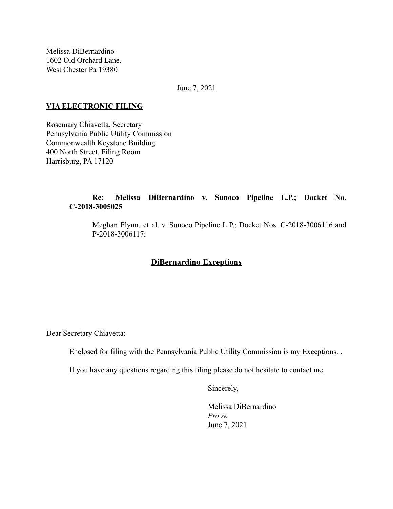Melissa DiBernardino 1602 Old Orchard Lane. West Chester Pa 19380

June 7, 2021

#### **VIA ELECTRONIC FILING**

Rosemary Chiavetta, Secretary Pennsylvania Public Utility Commission Commonwealth Keystone Building 400 North Street, Filing Room Harrisburg, PA 17120

### **Re: Melissa DiBernardino v. Sunoco Pipeline L.P.; Docket No. C-2018-3005025**

Meghan Flynn. et al. v. Sunoco Pipeline L.P.; Docket Nos. C-2018-3006116 and P-2018-3006117;

# **DiBernardino Exceptions**

Dear Secretary Chiavetta:

Enclosed for filing with the Pennsylvania Public Utility Commission is my Exceptions. .

If you have any questions regarding this filing please do not hesitate to contact me.

Sincerely,

Melissa DiBernardino *Pro se* June 7, 2021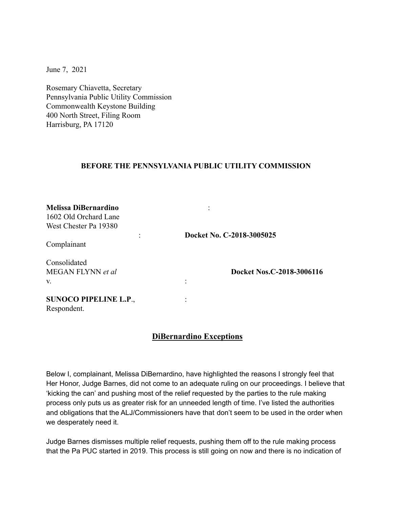June 7, 2021

Rosemary Chiavetta, Secretary Pennsylvania Public Utility Commission Commonwealth Keystone Building 400 North Street, Filing Room Harrisburg, PA 17120

#### **BEFORE THE PENNSYLVANIA PUBLIC UTILITY COMMISSION**

| <b>Melissa DiBernardino</b><br>1602 Old Orchard Lane<br>West Chester Pa 19380 |                           |
|-------------------------------------------------------------------------------|---------------------------|
| Complainant                                                                   | Docket No. C-2018-3005025 |
| Consolidated<br>MEGAN FLYNN et al<br>V.                                       | Docket Nos.C-2018-3006116 |
| <b>SUNOCO PIPELINE L.P.,</b><br>Respondent.                                   |                           |

## **DiBernardino Exceptions**

Below I, complainant, Melissa DiBernardino, have highlighted the reasons I strongly feel that Her Honor, Judge Barnes, did not come to an adequate ruling on our proceedings. I believe that 'kicking the can' and pushing most of the relief requested by the parties to the rule making process only puts us as greater risk for an unneeded length of time. I've listed the authorities and obligations that the ALJ/Commissioners have that don't seem to be used in the order when we desperately need it.

Judge Barnes dismisses multiple relief requests, pushing them off to the rule making process that the Pa PUC started in 2019. This process is still going on now and there is no indication of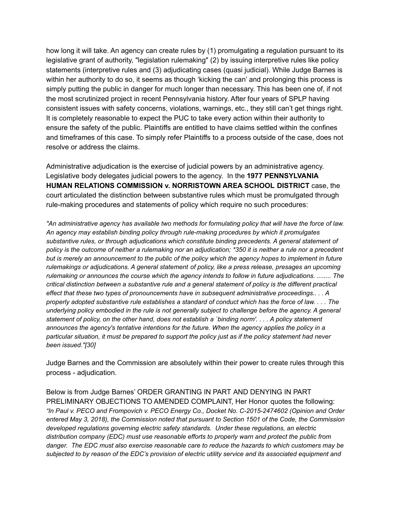how long it will take. An agency can create rules by (1) promulgating a regulation pursuant to its legislative grant of authority, "legislation rulemaking" (2) by issuing interpretive rules like policy statements (interpretive rules and (3) adjudicating cases (quasi judicial). While Judge Barnes is within her authority to do so, it seems as though 'kicking the can' and prolonging this process is simply putting the public in danger for much longer than necessary. This has been one of, if not the most scrutinized project in recent Pennsylvania history. After four years of SPLP having consistent issues with safety concerns, violations, warnings, etc., they still can't get things right. It is completely reasonable to expect the PUC to take every action within their authority to ensure the safety of the public. Plaintiffs are entitled to have claims settled within the confines and timeframes of this case. To simply refer Plaintiffs to a process outside of the case, does not resolve or address the claims.

Administrative adjudication is the exercise of judicial powers by an administrative agency. Legislative body delegates judicial powers to the agency. In the **1977 PENNSYLVANIA HUMAN RELATIONS COMMISSION v. NORRISTOWN AREA SCHOOL DISTRICT** case, the court articulated the distinction between substantive rules which must be promulgated through rule-making procedures and statements of policy which require no such procedures:

"An administrative agency has available two methods for formulating policy that will have the force of law. *An agency may establish binding policy through rule-making procedures by which it promulgates substantive rules, or through adjudications which constitute binding precedents. A general statement of* policy is the outcome of neither a rulemaking nor an adjudication; \*350 it is neither a rule nor a precedent but is merely an announcement to the public of the policy which the agency hopes to implement in future *rulemakings or adjudications. A general statement of policy, like a press release, presages an upcoming rulemaking or announces the course which the agency intends to follow in future adjudications. ........ The critical distinction between a substantive rule and a general statement of policy is the different practical effect that these two types of pronouncements have in subsequent administrative proceedings.. . . A* properly adopted substantive rule establishes a standard of conduct which has the force of law.... The *underlying policy embodied in the rule is not generally subject to challenge before the agency. A general* statement of policy, on the other hand, does not establish a `binding norm'.... A policy statement *announces the agency's tentative intentions for the future. When the agency applies the policy in a* particular situation, it must be prepared to support the policy just as if the policy statement had never *been issued."[30]*

Judge Barnes and the Commission are absolutely within their power to create rules through this process - adjudication.

Below is from Judge Barnes' ORDER GRANTING IN PART AND DENYING IN PART PRELIMINARY OBJECTIONS TO AMENDED COMPLAINT, Her Honor quotes the following: *"In Paul v. PECO and Frompovich v. PECO Energy Co., Docket No. C-2015-2474602 (Opinion and Order entered May 3, 2018), the Commission noted that pursuant to Section 1501 of the Code, the Commission developed regulations governing electric safety standards. Under these regulations, an electric distribution company (EDC) must use reasonable efforts to properly warn and protect the public from danger. The EDC must also exercise reasonable care to reduce the hazards to which customers may be* subjected to by reason of the EDC's provision of electric utility service and its associated equipment and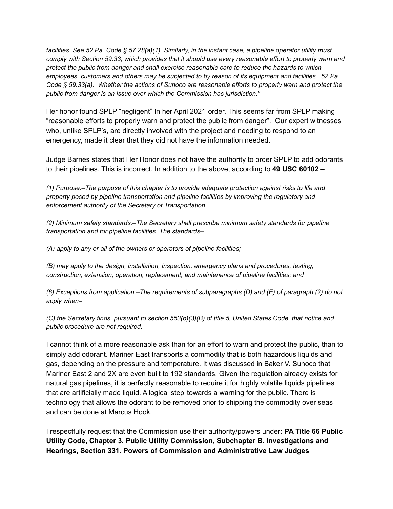facilities. See 52 Pa. Code § 57.28(a)(1). Similarly, in the instant case, a pipeline operator utility must *comply with Section 59.33, which provides that it should use every reasonable effort to properly warn and protect the public from danger and shall exercise reasonable care to reduce the hazards to which employees, customers and others may be subjected to by reason of its equipment and facilities. 52 Pa. Code § 59.33(a). Whether the actions of Sunoco are reasonable efforts to properly warn and protect the public from danger is an issue over which the Commission has jurisdiction."*

Her honor found SPLP "negligent" In her April 2021 order. This seems far from SPLP making "reasonable efforts to properly warn and protect the public from danger". Our expert witnesses who, unlike SPLP's, are directly involved with the project and needing to respond to an emergency, made it clear that they did not have the information needed.

Judge Barnes states that Her Honor does not have the authority to order SPLP to add odorants to their pipelines. This is incorrect. In addition to the above, according to **49 USC 60102** –

*(1) Purpose.–The purpose of this chapter is to provide adequate protection against risks to life and property posed by pipeline transportation and pipeline facilities by improving the regulatory and enforcement authority of the Secretary of Transportation.*

*(2) Minimum safety standards.–The Secretary shall prescribe minimum safety standards for pipeline transportation and for pipeline facilities. The standards–*

*(A) apply to any or all of the owners or operators of pipeline facilities;*

*(B) may apply to the design, installation, inspection, emergency plans and procedures, testing, construction, extension, operation, replacement, and maintenance of pipeline facilities; and*

*(6) Exceptions from application.–The requirements of subparagraphs (D) and (E) of paragraph (2) do not apply when–*

*(C) the Secretary finds, pursuant to section 553(b)(3)(B) of title 5, United States Code, that notice and public procedure are not required.*

I cannot think of a more reasonable ask than for an effort to warn and protect the public, than to simply add odorant. Mariner East transports a commodity that is both hazardous liquids and gas, depending on the pressure and temperature. It was discussed in Baker V. Sunoco that Mariner East 2 and 2X are even built to 192 standards. Given the regulation already exists for natural gas pipelines, it is perfectly reasonable to require it for highly volatile liquids pipelines that are artificially made liquid. A logical step towards a warning for the public. There is technology that allows the odorant to be removed prior to shipping the commodity over seas and can be done at Marcus Hook.

I respectfully request that the Commission use their authority/powers under**: PA Title 66 Public Utility Code, Chapter 3. Public Utility Commission, Subchapter B. Investigations and Hearings, Section 331. Powers of Commission and Administrative Law Judges**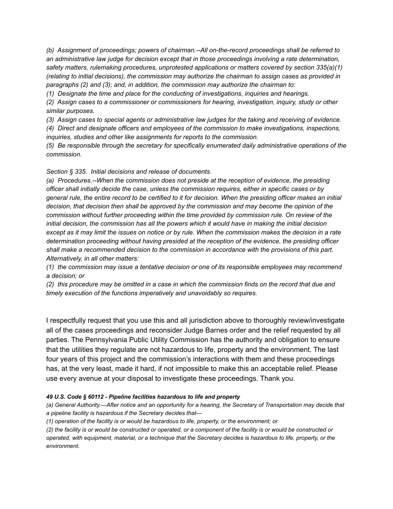*(b) Assignment of proceedings; powers of chairman.--All on-the-record proceedings shall be referred to an administrative law judge for decision except that in those proceedings involving a rate determination, safety matters, rulemaking procedures, unprotested applications or matters covered by section 335(a)(1) (relating to initial decisions), the commission may authorize the chairman to assign cases as provided in paragraphs (2) and (3); and, in addition, the commission may authorize the chairman to:*

*(1) Designate the time and place for the conducting of investigations, inquiries and hearings.*

*(2) Assign cases to a commissioner or commissioners for hearing, investigation, inquiry, study or other similar purposes.*

*(3) Assign cases to special agents or administrative law judges for the taking and receiving of evidence.*

*(4) Direct and designate officers and employees of the commission to make investigations, inspections, inquiries, studies and other like assignments for reports to the commission.*

*(5) Be responsible through the secretary for specifically enumerated daily administrative operations of the commission.*

*Section § 335. Initial decisions and release of documents.*

*(a) Procedures.--When the commission does not preside at the reception of evidence, the presiding officer shall initially decide the case, unless the commission requires, either in specific cases or by* general rule, the entire record to be certified to it for decision. When the presiding officer makes an initial *decision, that decision then shall be approved by the commission and may become the opinion of the commission without further proceeding within the time provided by commission rule. On review of the initial decision, the commission has all the powers which it would have in making the initial decision* except as it may limit the issues on notice or by rule. When the commission makes the decision in a rate *determination proceeding without having presided at the reception of the evidence, the presiding officer shall make a recommended decision to the commission in accordance with the provisions of this part. Alternatively, in all other matters:*

*(1) the commission may issue a tentative decision or one of its responsible employees may recommend a decision; or*

(2) this procedure may be omitted in a case in which the commission finds on the record that due and *timely execution of the functions imperatively and unavoidably so requires.*

I respectfully request that you use this and all jurisdiction above to thoroughly review/investigate all of the cases proceedings and reconsider Judge Barnes order and the relief requested by all parties. The Pennsylvania Public Utility Commission has the authority and obligation to ensure that the utilities they regulate are not hazardous to life, property and the environment. The last four years of this project and the commission's interactions with them and these proceedings has, at the very least, made it hard, if not impossible to make this an acceptable relief. Please use every avenue at your disposal to investigate these proceedings. Thank you.

#### *49 U.S. Code § 60112 - Pipeline facilities hazardous to life and property*

*(a) General Authority.—After notice and an opportunity for a hearing, the Secretary of Transportation may decide that a pipeline facility is hazardous if the Secretary decides that—*

*(1) operation of the facility is or would be hazardous to life, property, or the environment; or*

*(2) the facility is or would be constructed or operated, or a component of the facility is or would be constructed or operated, with equipment, material, or a technique that the Secretary decides is hazardous to life, property, or the environment.*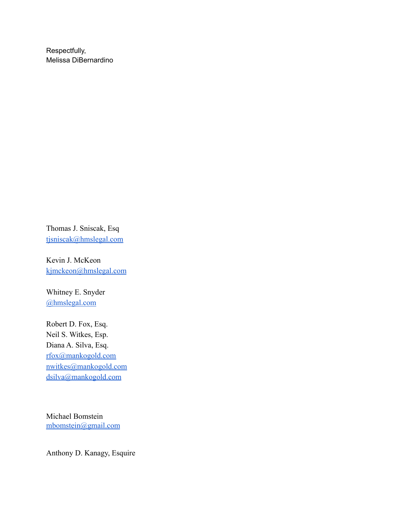Respectfully, Melissa DiBernardino

Thomas J. Sniscak, Esq [tjsniscak@hmslegal.com](mailto:tjsniscak@hmslegal.com)

Kevin J. McKeon [kjmckeon@hmslegal.com](mailto:kjmckeon@hmslegal.com)

Whitney E. Snyder [@hmslegal.com](mailto:wesnyder@hmslegal.com)

Robert D. Fox, Esq. Neil S. Witkes, Esp. Diana A. Silva, Esq. [rfox@mankogold.com](mailto:rfox@mankogold.com) [nwitkes@mankogold.com](mailto:nwitkes@mankogold.com) [dsilva@mankogold.com](mailto:dsilva@mankogold.com)

Michael Bomstein [mbomstein@gmail.com](mailto:mbomstein@gmail.com)

Anthony D. Kanagy, Esquire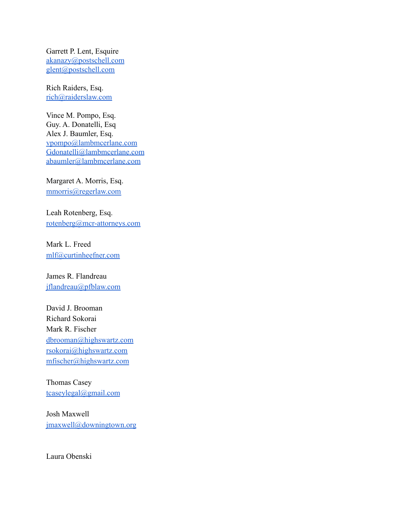Garrett P. Lent, Esquire [akanazy@postschell.com](mailto:akanazy@postschell.com) [glent@postschell.com](mailto:glent@postschell.com)

Rich Raiders, Esq. [rich@raiderslaw.com](mailto:rich@raiderslaw.com)

Vince M. Pompo, Esq. Guy. A. Donatelli, Esq Alex J. Baumler, Esq. [vpompo@lambmcerlane.com](mailto:vpompo@lambmcerlane.com) [Gdonatelli@lambmcerlane.com](mailto:Gdonatelli@lambmcerlane.com) [abaumler@lambmcerlane.com](mailto:abaumler@lambmcerlane.com)

Margaret A. Morris, Esq. [mmorris@regerlaw.com](mailto:mmorris@regerlaw.com)

Leah Rotenberg, Esq. [rotenberg@mcr-attorneys.com](mailto:rotenberg@mcr-attorneys.com)

Mark L. Freed [mlf@curtinheefner.com](mailto:mlf@curtinheefner.com)

James R. Flandreau [jflandreau@pfblaw.com](mailto:jflandreau@pfblaw.com)

David J. Brooman Richard Sokorai Mark R. Fischer [dbrooman@highswartz.com](mailto:dbrooman@highswartz.com) [rsokorai@highswartz.com](mailto:rsokorai@highswartz.com) [mfischer@highswartz.com](mailto:mfischer@highswartz.com)

Thomas Casey [tcaseylegal@gmail.com](mailto:tcaseylegal@gmail.com)

Josh Maxwell [jmaxwell@downingtown.org](mailto:jmaxwell@downingtown.org)

Laura Obenski